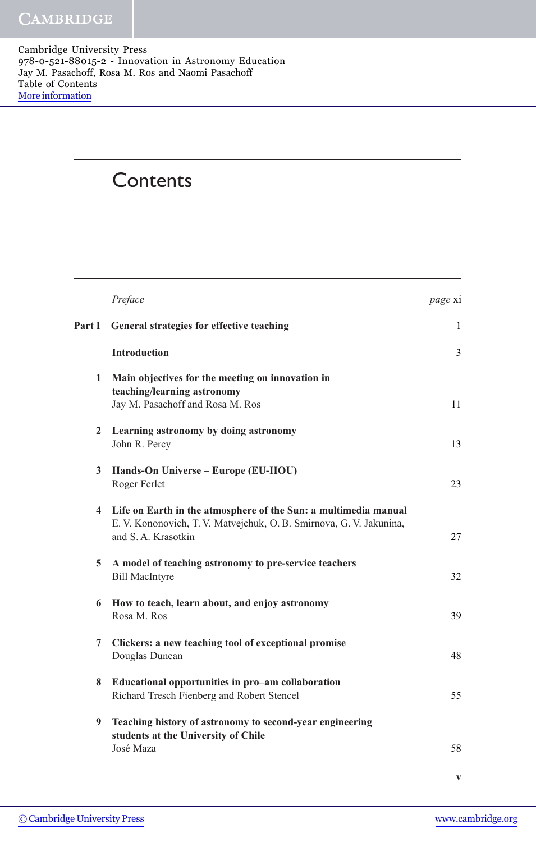Cambridge University Press 978-0-521-88015-2 - Innovation in Astronomy Education Jay M. Pasachoff, Rosa M. Ros and Naomi Pasachoff Table of Contents [More information](http://www.cambridge.org/9780521880152)

# **Contents**

|              | Preface                                                                                                                                                        | page xi |
|--------------|----------------------------------------------------------------------------------------------------------------------------------------------------------------|---------|
| Part I       | General strategies for effective teaching                                                                                                                      | 1       |
|              | <b>Introduction</b>                                                                                                                                            | 3       |
| $\mathbf{1}$ | Main objectives for the meeting on innovation in<br>teaching/learning astronomy<br>Jay M. Pasachoff and Rosa M. Ros                                            | 11      |
| $\mathbf{2}$ | Learning astronomy by doing astronomy<br>John R. Percy                                                                                                         | 13      |
| $\mathbf{3}$ | Hands-On Universe – Europe (EU-HOU)<br>Roger Ferlet                                                                                                            | 23      |
|              | 4 Life on Earth in the atmosphere of the Sun: a multimedia manual<br>E. V. Kononovich, T. V. Matvejchuk, O. B. Smirnova, G. V. Jakunina,<br>and S.A. Krasotkin | 27      |
| 5            | A model of teaching astronomy to pre-service teachers<br><b>Bill MacIntyre</b>                                                                                 | 32      |
| 6            | How to teach, learn about, and enjoy astronomy<br>Rosa M. Ros                                                                                                  | 39      |
| 7            | Clickers: a new teaching tool of exceptional promise<br>Douglas Duncan                                                                                         | 48      |
| 8            | Educational opportunities in pro-am collaboration<br>Richard Tresch Fienberg and Robert Stencel                                                                | 55      |
| 9            | Teaching history of astronomy to second-year engineering<br>students at the University of Chile<br>José Maza                                                   | 58      |

v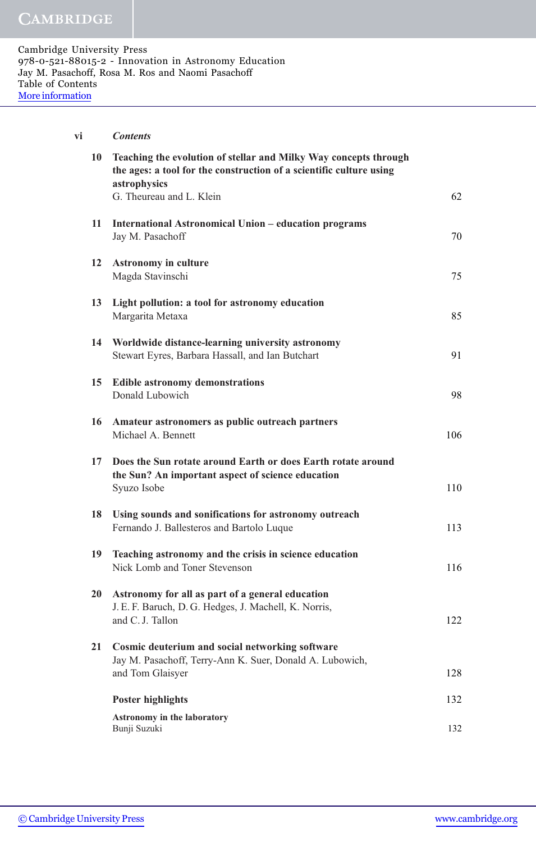| vi | <b>Contents</b>                                                                                                                                         |     |
|----|---------------------------------------------------------------------------------------------------------------------------------------------------------|-----|
| 10 | Teaching the evolution of stellar and Milky Way concepts through<br>the ages: a tool for the construction of a scientific culture using<br>astrophysics |     |
|    | G. Theureau and L. Klein                                                                                                                                | 62  |
| 11 | International Astronomical Union – education programs<br>Jay M. Pasachoff                                                                               | 70  |
| 12 | <b>Astronomy in culture</b><br>Magda Stavinschi                                                                                                         | 75  |
| 13 | Light pollution: a tool for astronomy education<br>Margarita Metaxa                                                                                     | 85  |
| 14 | Worldwide distance-learning university astronomy<br>Stewart Eyres, Barbara Hassall, and Ian Butchart                                                    | 91  |
| 15 | <b>Edible astronomy demonstrations</b><br>Donald Lubowich                                                                                               | 98  |
|    | 16 Amateur astronomers as public outreach partners<br>Michael A. Bennett                                                                                | 106 |
| 17 | Does the Sun rotate around Earth or does Earth rotate around                                                                                            |     |
|    | the Sun? An important aspect of science education<br>Syuzo Isobe                                                                                        | 110 |
| 18 | Using sounds and sonifications for astronomy outreach                                                                                                   |     |
|    | Fernando J. Ballesteros and Bartolo Luque                                                                                                               | 113 |
| 19 | Teaching astronomy and the crisis in science education                                                                                                  |     |
|    | Nick Lomb and Toner Stevenson                                                                                                                           | 116 |
| 20 | Astronomy for all as part of a general education                                                                                                        |     |
|    | J. E. F. Baruch, D. G. Hedges, J. Machell, K. Norris,<br>and C. J. Tallon                                                                               | 122 |
| 21 | Cosmic deuterium and social networking software                                                                                                         |     |
|    | Jay M. Pasachoff, Terry-Ann K. Suer, Donald A. Lubowich,<br>and Tom Glaisyer                                                                            | 128 |
|    |                                                                                                                                                         |     |
|    | <b>Poster highlights</b>                                                                                                                                | 132 |
|    | <b>Astronomy in the laboratory</b><br>Bunji Suzuki                                                                                                      | 132 |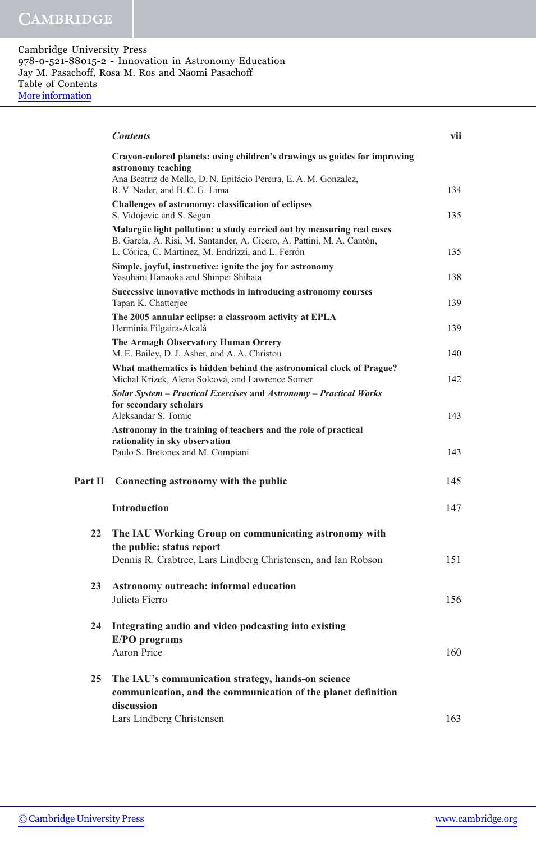|         | <b>Contents</b>                                                                                                                                                                                       | vii |
|---------|-------------------------------------------------------------------------------------------------------------------------------------------------------------------------------------------------------|-----|
|         | Crayon-colored planets: using children's drawings as guides for improving<br>astronomy teaching<br>Ana Beatriz de Mello, D. N. Epitácio Pereira, E. A. M. Gonzalez,<br>R. V. Nader, and B. C. G. Lima | 134 |
|         | Challenges of astronomy: classification of eclipses<br>S. Vidojevic and S. Segan                                                                                                                      | 135 |
|         | Malargüe light pollution: a study carried out by measuring real cases<br>B. García, A. Risi, M. Santander, A. Cicero, A. Pattini, M. A. Cantón,<br>L. Córica, C. Martínez, M. Endrizzi, and L. Ferrón | 135 |
|         | Simple, joyful, instructive: ignite the joy for astronomy<br>Yasuharu Hanaoka and Shinpei Shibata                                                                                                     | 138 |
|         | Successive innovative methods in introducing astronomy courses<br>Tapan K. Chatterjee                                                                                                                 | 139 |
|         | The 2005 annular eclipse: a classroom activity at EPLA<br>Herminia Filgaira-Alcalá                                                                                                                    | 139 |
|         | The Armagh Observatory Human Orrery<br>M. E. Bailey, D. J. Asher, and A. A. Christou                                                                                                                  | 140 |
|         | What mathematics is hidden behind the astronomical clock of Prague?<br>Michal Krizek, Alena Solcová, and Lawrence Somer                                                                               | 142 |
|         | Solar System - Practical Exercises and Astronomy - Practical Works<br>for secondary scholars<br>Aleksandar S. Tomic                                                                                   | 143 |
|         | Astronomy in the training of teachers and the role of practical<br>rationality in sky observation<br>Paulo S. Bretones and M. Compiani                                                                | 143 |
| Part II | Connecting astronomy with the public                                                                                                                                                                  | 145 |
|         | <b>Introduction</b>                                                                                                                                                                                   | 147 |
| 22      | The IAU Working Group on communicating astronomy with<br>the public: status report                                                                                                                    |     |
|         | Dennis R. Crabtree, Lars Lindberg Christensen, and Ian Robson                                                                                                                                         | 151 |
| 23      | Astronomy outreach: informal education<br>Julieta Fierro                                                                                                                                              | 156 |
| 24      | Integrating audio and video podcasting into existing<br>E/PO programs                                                                                                                                 |     |
|         | Aaron Price                                                                                                                                                                                           | 160 |
| 25      | The IAU's communication strategy, hands-on science<br>communication, and the communication of the planet definition<br>discussion                                                                     |     |
|         | Lars Lindberg Christensen                                                                                                                                                                             | 163 |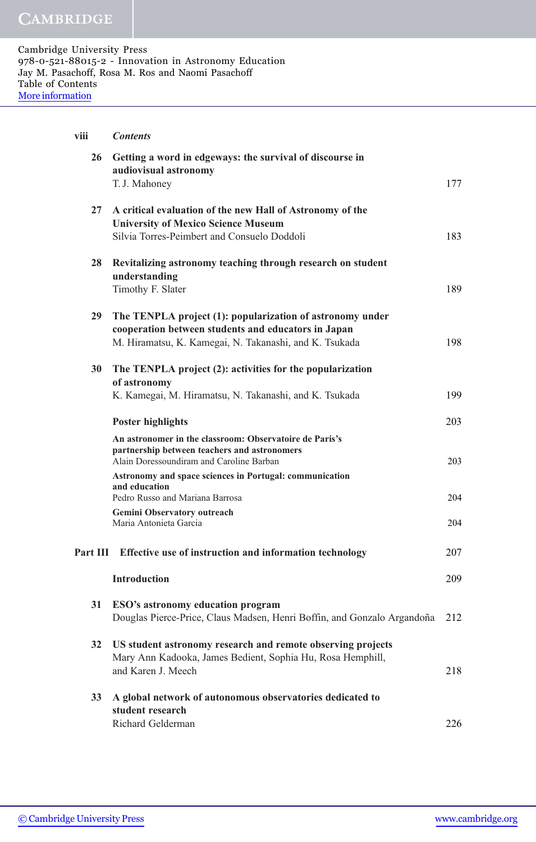| viii     | <b>Contents</b>                                                                                                                                        |     |
|----------|--------------------------------------------------------------------------------------------------------------------------------------------------------|-----|
| 26       | Getting a word in edgeways: the survival of discourse in<br>audiovisual astronomy                                                                      |     |
|          | T.J. Mahoney                                                                                                                                           | 177 |
| 27       | A critical evaluation of the new Hall of Astronomy of the<br><b>University of Mexico Science Museum</b><br>Silvia Torres-Peimbert and Consuelo Doddoli | 183 |
| 28       | Revitalizing astronomy teaching through research on student<br>understanding                                                                           |     |
|          | Timothy F. Slater                                                                                                                                      | 189 |
| 29       | The TENPLA project (1): popularization of astronomy under<br>cooperation between students and educators in Japan                                       |     |
|          | M. Hiramatsu, K. Kamegai, N. Takanashi, and K. Tsukada                                                                                                 | 198 |
| 30       | The TENPLA project (2): activities for the popularization                                                                                              |     |
|          | of astronomy<br>K. Kamegai, M. Hiramatsu, N. Takanashi, and K. Tsukada                                                                                 | 199 |
|          | <b>Poster highlights</b>                                                                                                                               | 203 |
|          | An astronomer in the classroom: Observatoire de Paris's<br>partnership between teachers and astronomers<br>Alain Doressoundiram and Caroline Barban    | 203 |
|          | Astronomy and space sciences in Portugal: communication<br>and education<br>Pedro Russo and Mariana Barrosa                                            | 204 |
|          | Gemini Observatory outreach                                                                                                                            |     |
|          | Maria Antonieta Garcia                                                                                                                                 | 204 |
| Part III | Effective use of instruction and information technology                                                                                                | 207 |
|          | <b>Introduction</b>                                                                                                                                    | 209 |
| 31       | ESO's astronomy education program<br>Douglas Pierce-Price, Claus Madsen, Henri Boffin, and Gonzalo Argandoña                                           | 212 |
| 32       | US student astronomy research and remote observing projects<br>Mary Ann Kadooka, James Bedient, Sophia Hu, Rosa Hemphill,<br>and Karen J. Meech        | 218 |
| 33       | A global network of autonomous observatories dedicated to<br>student research                                                                          |     |
|          | Richard Gelderman                                                                                                                                      | 226 |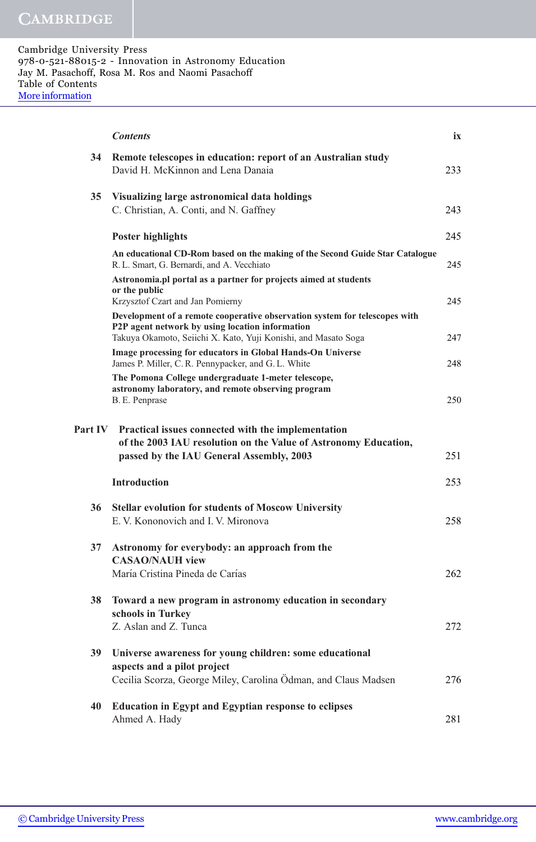|                | <b>Contents</b>                                                                                                                                                   | ix  |
|----------------|-------------------------------------------------------------------------------------------------------------------------------------------------------------------|-----|
| 34             | Remote telescopes in education: report of an Australian study<br>David H. McKinnon and Lena Danaia                                                                | 233 |
| 35             | Visualizing large astronomical data holdings<br>C. Christian, A. Conti, and N. Gaffney                                                                            | 243 |
|                |                                                                                                                                                                   |     |
|                | <b>Poster highlights</b>                                                                                                                                          | 245 |
|                | An educational CD-Rom based on the making of the Second Guide Star Catalogue<br>R. L. Smart, G. Bernardi, and A. Vecchiato                                        | 245 |
|                | Astronomia.pl portal as a partner for projects aimed at students<br>or the public                                                                                 |     |
|                | Krzysztof Czart and Jan Pomierny<br>Development of a remote cooperative observation system for telescopes with                                                    | 245 |
|                | P2P agent network by using location information<br>Takuya Okamoto, Seiichi X. Kato, Yuji Konishi, and Masato Soga                                                 | 247 |
|                | Image processing for educators in Global Hands-On Universe<br>James P. Miller, C. R. Pennypacker, and G. L. White                                                 | 248 |
|                | The Pomona College undergraduate 1-meter telescope,<br>astronomy laboratory, and remote observing program<br>B. E. Penprase                                       | 250 |
| <b>Part IV</b> | Practical issues connected with the implementation<br>of the 2003 IAU resolution on the Value of Astronomy Education,<br>passed by the IAU General Assembly, 2003 | 251 |
|                | <b>Introduction</b>                                                                                                                                               | 253 |
| 36             | <b>Stellar evolution for students of Moscow University</b><br>E. V. Kononovich and I. V. Mironova                                                                 | 258 |
| 37             | Astronomy for everybody: an approach from the<br><b>CASAO/NAUH view</b>                                                                                           |     |
|                | María Cristina Pineda de Carías                                                                                                                                   | 262 |
| 38             | Toward a new program in astronomy education in secondary<br>schools in Turkey                                                                                     |     |
|                | Z. Aslan and Z. Tunca                                                                                                                                             | 272 |
| 39             | Universe awareness for young children: some educational                                                                                                           |     |
|                | aspects and a pilot project<br>Cecilia Scorza, George Miley, Carolina Ödman, and Claus Madsen                                                                     | 276 |
| 40             | <b>Education in Egypt and Egyptian response to eclipses</b><br>Ahmed A. Hady                                                                                      | 281 |